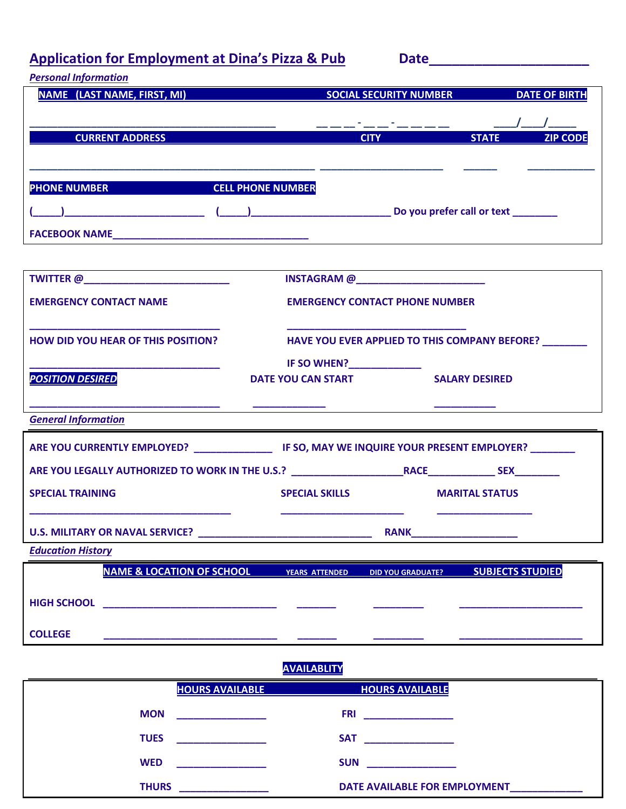# Application for Employment at Dina's Pizza & Pub Date\_\_\_\_\_\_\_\_\_\_\_\_\_\_\_\_\_\_\_\_\_\_\_\_\_\_\_\_

| <b>Personal Information</b>                                                                            |                                                        |                                       |                                                 |  |
|--------------------------------------------------------------------------------------------------------|--------------------------------------------------------|---------------------------------------|-------------------------------------------------|--|
| NAME (LAST NAME, FIRST, MI)                                                                            | <b>Example 20 SOCIAL SECURITY NUMBER DATE OF BIRTH</b> |                                       |                                                 |  |
|                                                                                                        |                                                        |                                       |                                                 |  |
| <b>CURRENT ADDRESS AND LOCAL CONTROL</b>                                                               |                                                        |                                       | <b>Example 21 CITY</b> CITY CODE STATE 21P CODE |  |
|                                                                                                        |                                                        |                                       |                                                 |  |
|                                                                                                        |                                                        |                                       |                                                 |  |
| PHONE NUMBER CELL PHONE NUMBER                                                                         |                                                        |                                       |                                                 |  |
|                                                                                                        |                                                        |                                       |                                                 |  |
|                                                                                                        |                                                        |                                       |                                                 |  |
|                                                                                                        |                                                        |                                       |                                                 |  |
| TWITTER @___________________________                                                                   | INSTAGRAM @__________________________                  |                                       |                                                 |  |
| <b>EMERGENCY CONTACT NAME</b>                                                                          |                                                        | <b>EMERGENCY CONTACT PHONE NUMBER</b> |                                                 |  |
|                                                                                                        |                                                        |                                       |                                                 |  |
| <b>HOW DID YOU HEAR OF THIS POSITION?</b>                                                              | HAVE YOU EVER APPLIED TO THIS COMPANY BEFORE? _______  |                                       |                                                 |  |
|                                                                                                        | IF SO WHEN?_____________                               |                                       |                                                 |  |
| <b>POSITION DESIRED</b>                                                                                | DATE YOU CAN START SALARY DESIRED                      |                                       |                                                 |  |
|                                                                                                        |                                                        |                                       |                                                 |  |
| <b>General Information</b>                                                                             |                                                        |                                       |                                                 |  |
|                                                                                                        |                                                        |                                       |                                                 |  |
| ARE YOU CURRENTLY EMPLOYED? ____________________ IF SO, MAY WE INQUIRE YOUR PRESENT EMPLOYER? ________ |                                                        |                                       |                                                 |  |
|                                                                                                        |                                                        |                                       |                                                 |  |
| <b>SPECIAL TRAINING</b>                                                                                | <b>SPECIAL SKILLS</b>                                  | <b>MARITAL STATUS</b>                 |                                                 |  |
|                                                                                                        |                                                        |                                       |                                                 |  |

## **U.S. MILITARY OR NAVAL SERVICE? \_\_\_\_\_\_\_\_\_\_\_\_\_\_\_\_\_\_\_\_\_\_\_\_\_\_\_\_\_\_\_ RANK\_\_\_\_\_\_\_\_\_\_\_\_\_\_\_\_\_\_\_**

*Education History*

|                    | <b>NAME &amp; LOCATION OF SCHOOL</b> | <b>YEARS ATTENDED</b> | <b>DID YOU GRADUATE?</b> | <b>SUBJECTS STUDIED</b> |
|--------------------|--------------------------------------|-----------------------|--------------------------|-------------------------|
| <b>HIGH SCHOOL</b> |                                      |                       |                          |                         |
| <b>COLLEGE</b>     |                                      |                       |                          |                         |

### **AVAILABLITY**

| <b>HOURS AVAILABLE</b>                                                                                                             | <b>HOURS AVAILABLE</b>                                                                                                              |
|------------------------------------------------------------------------------------------------------------------------------------|-------------------------------------------------------------------------------------------------------------------------------------|
| <b>MON</b><br><u> 1999 - Johann Harrison, mars eta indonez eta indonez eta indonez eta indonez ere ere ere ere ere ere ere ere</u> | <b>FRI</b><br><u> 1990 - John Harry Harry Harry Harry Harry Harry Harry Harry Harry Harry Harry Harry Harry Harry Harry Harry H</u> |
| <b>TUES</b><br>the control of the control of                                                                                       | <b>SAT</b>                                                                                                                          |
| <b>WED</b>                                                                                                                         | <b>SUN</b>                                                                                                                          |
| <b>THURS</b>                                                                                                                       | DATE AVAILABLE FOR EMPLOYMENT                                                                                                       |